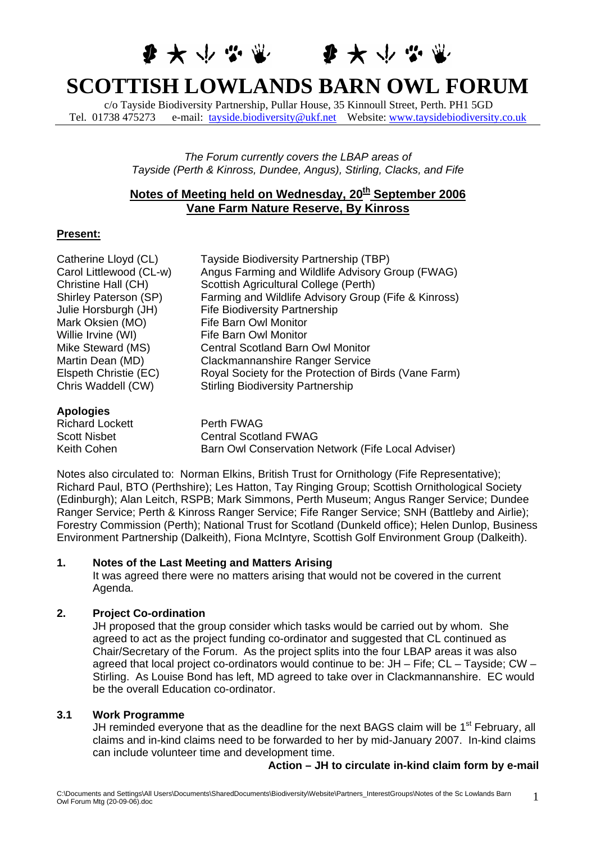# 每大小心哪 每大小心呢

# **SCOTTISH LOWLANDS BARN OWL FORUM**

c/o Tayside Biodiversity Partnership, Pullar House, 35 Kinnoull Street, Perth. PH1 5GD Tel. 01738 475273 e-mail: [tayside.biodiversity@ukf.net](mailto:tayside.biodiversity@ukf.net) Website: [www.taysidebiodiversity.co.uk](http://www.taysidebiodiversity.co.uk/)

> *The Forum currently covers the LBAP areas of Tayside (Perth & Kinross, Dundee, Angus), Stirling, Clacks, and Fife*

# **Notes of Meeting held on Wednesday, 20<sup>th</sup> September 2006 Vane Farm Nature Reserve, By Kinross**

# **Present:**

| Catherine Lloyd (CL)    | Tayside Biodiversity Partnership (TBP)                |
|-------------------------|-------------------------------------------------------|
| Carol Littlewood (CL-w) | Angus Farming and Wildlife Advisory Group (FWAG)      |
| Christine Hall (CH)     | Scottish Agricultural College (Perth)                 |
| Shirley Paterson (SP)   | Farming and Wildlife Advisory Group (Fife & Kinross)  |
| Julie Horsburgh (JH)    | <b>Fife Biodiversity Partnership</b>                  |
| Mark Oksien (MO)        | Fife Barn Owl Monitor                                 |
| Willie Irvine (WI)      | Fife Barn Owl Monitor                                 |
| Mike Steward (MS)       | <b>Central Scotland Barn Owl Monitor</b>              |
| Martin Dean (MD)        | Clackmannanshire Ranger Service                       |
| Elspeth Christie (EC)   | Royal Society for the Protection of Birds (Vane Farm) |
| Chris Waddell (CW)      | <b>Stirling Biodiversity Partnership</b>              |
| <b>Apologies</b>        |                                                       |
| <b>Richard Lockett</b>  | Perth FWAG                                            |

| 1.183199100            |                                                    |
|------------------------|----------------------------------------------------|
| <b>Richard Lockett</b> | Perth FWAG                                         |
| <b>Scott Nisbet</b>    | <b>Central Scotland FWAG</b>                       |
| Keith Cohen            | Barn Owl Conservation Network (Fife Local Adviser) |

Notes also circulated to: Norman Elkins, British Trust for Ornithology (Fife Representative); Richard Paul, BTO (Perthshire); Les Hatton, Tay Ringing Group; Scottish Ornithological Society (Edinburgh); Alan Leitch, RSPB; Mark Simmons, Perth Museum; Angus Ranger Service; Dundee Ranger Service; Perth & Kinross Ranger Service; Fife Ranger Service; SNH (Battleby and Airlie); Forestry Commission (Perth); National Trust for Scotland (Dunkeld office); Helen Dunlop, Business Environment Partnership (Dalkeith), Fiona McIntyre, Scottish Golf Environment Group (Dalkeith).

# **1. Notes of the Last Meeting and Matters Arising**

It was agreed there were no matters arising that would not be covered in the current Agenda.

# **2. Project Co-ordination**

JH proposed that the group consider which tasks would be carried out by whom. She agreed to act as the project funding co-ordinator and suggested that CL continued as Chair/Secretary of the Forum. As the project splits into the four LBAP areas it was also agreed that local project co-ordinators would continue to be: JH – Fife; CL – Tayside; CW – Stirling. As Louise Bond has left, MD agreed to take over in Clackmannanshire. EC would be the overall Education co-ordinator.

# **3.1 Work Programme**

JH reminded everyone that as the deadline for the next BAGS claim will be 1<sup>st</sup> February, all claims and in-kind claims need to be forwarded to her by mid-January 2007. In-kind claims can include volunteer time and development time.

#### **Action – JH to circulate in-kind claim form by e-mail**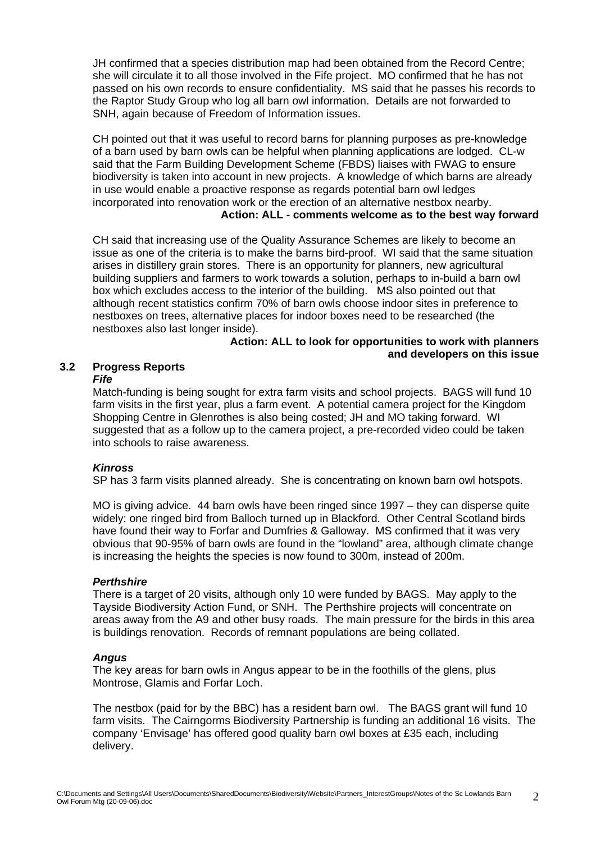JH confirmed that a species distribution map had been obtained from the Record Centre; she will circulate it to all those involved in the Fife project. MO confirmed that he has not passed on his own records to ensure confidentiality. MS said that he passes his records to the Raptor Study Group who log all barn owl information. Details are not forwarded to SNH, again because of Freedom of Information issues.

CH pointed out that it was useful to record barns for planning purposes as pre-knowledge of a barn used by barn owls can be helpful when planning applications are lodged. CL-w said that the Farm Building Development Scheme (FBDS) liaises with FWAG to ensure biodiversity is taken into account in new projects. A knowledge of which barns are already in use would enable a proactive response as regards potential barn owl ledges incorporated into renovation work or the erection of an alternative nestbox nearby.

# **Action: ALL - comments welcome as to the best way forward**

CH said that increasing use of the Quality Assurance Schemes are likely to become an issue as one of the criteria is to make the barns bird-proof. WI said that the same situation arises in distillery grain stores. There is an opportunity for planners, new agricultural building suppliers and farmers to work towards a solution, perhaps to in-build a barn owl box which excludes access to the interior of the building. MS also pointed out that although recent statistics confirm 70% of barn owls choose indoor sites in preference to nestboxes on trees, alternative places for indoor boxes need to be researched (the nestboxes also last longer inside).

#### **Action: ALL to look for opportunities to work with planners and developers on this issue**

# **3.2 Progress Reports**

#### *Fife*

Match-funding is being sought for extra farm visits and school projects. BAGS will fund 10 farm visits in the first year, plus a farm event. A potential camera project for the Kingdom Shopping Centre in Glenrothes is also being costed; JH and MO taking forward. WI suggested that as a follow up to the camera project, a pre-recorded video could be taken into schools to raise awareness.

# *Kinross*

SP has 3 farm visits planned already. She is concentrating on known barn owl hotspots.

MO is giving advice. 44 barn owls have been ringed since 1997 – they can disperse quite widely: one ringed bird from Balloch turned up in Blackford. Other Central Scotland birds have found their way to Forfar and Dumfries & Galloway. MS confirmed that it was very obvious that 90-95% of barn owls are found in the "lowland" area, although climate change is increasing the heights the species is now found to 300m, instead of 200m.

# *Perthshire*

There is a target of 20 visits, although only 10 were funded by BAGS. May apply to the Tayside Biodiversity Action Fund, or SNH. The Perthshire projects will concentrate on areas away from the A9 and other busy roads. The main pressure for the birds in this area is buildings renovation. Records of remnant populations are being collated.

#### *Angus*

The key areas for barn owls in Angus appear to be in the foothills of the glens, plus Montrose, Glamis and Forfar Loch.

The nestbox (paid for by the BBC) has a resident barn owl. The BAGS grant will fund 10 farm visits. The Cairngorms Biodiversity Partnership is funding an additional 16 visits. The company 'Envisage' has offered good quality barn owl boxes at £35 each, including delivery.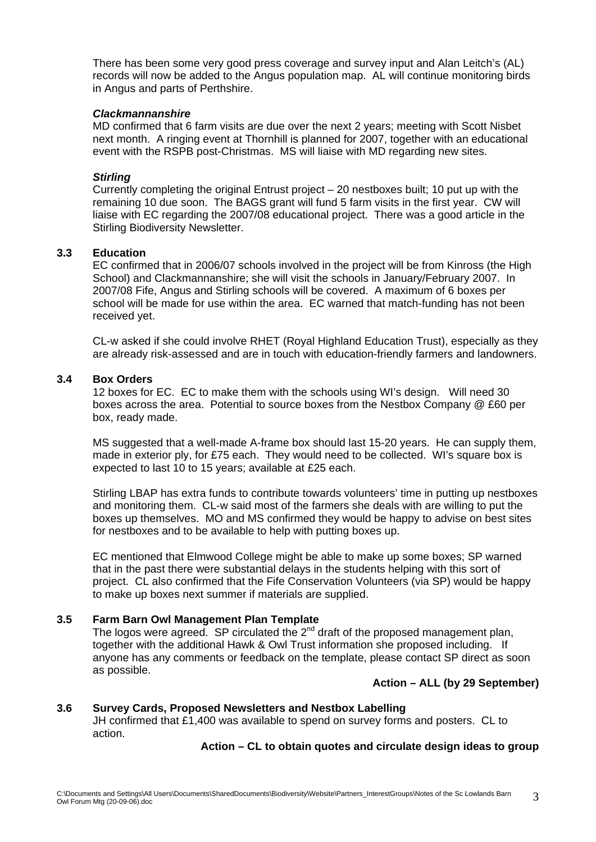There has been some very good press coverage and survey input and Alan Leitch's (AL) records will now be added to the Angus population map. AL will continue monitoring birds in Angus and parts of Perthshire.

#### *Clackmannanshire*

MD confirmed that 6 farm visits are due over the next 2 years; meeting with Scott Nisbet next month. A ringing event at Thornhill is planned for 2007, together with an educational event with the RSPB post-Christmas. MS will liaise with MD regarding new sites.

#### *Stirling*

Currently completing the original Entrust project – 20 nestboxes built; 10 put up with the remaining 10 due soon. The BAGS grant will fund 5 farm visits in the first year. CW will liaise with EC regarding the 2007/08 educational project. There was a good article in the Stirling Biodiversity Newsletter.

#### **3.3 Education**

EC confirmed that in 2006/07 schools involved in the project will be from Kinross (the High School) and Clackmannanshire; she will visit the schools in January/February 2007. In 2007/08 Fife, Angus and Stirling schools will be covered. A maximum of 6 boxes per school will be made for use within the area. EC warned that match-funding has not been received yet.

CL-w asked if she could involve RHET (Royal Highland Education Trust), especially as they are already risk-assessed and are in touch with education-friendly farmers and landowners.

#### **3.4 Box Orders**

12 boxes for EC. EC to make them with the schools using WI's design. Will need 30 boxes across the area. Potential to source boxes from the Nestbox Company @ £60 per box, ready made.

MS suggested that a well-made A-frame box should last 15-20 years. He can supply them, made in exterior ply, for £75 each. They would need to be collected. WI's square box is expected to last 10 to 15 years; available at £25 each.

Stirling LBAP has extra funds to contribute towards volunteers' time in putting up nestboxes and monitoring them. CL-w said most of the farmers she deals with are willing to put the boxes up themselves. MO and MS confirmed they would be happy to advise on best sites for nestboxes and to be available to help with putting boxes up.

EC mentioned that Elmwood College might be able to make up some boxes; SP warned that in the past there were substantial delays in the students helping with this sort of project. CL also confirmed that the Fife Conservation Volunteers (via SP) would be happy to make up boxes next summer if materials are supplied.

#### **3.5 Farm Barn Owl Management Plan Template**

The logos were agreed. SP circulated the  $2<sup>nd</sup>$  draft of the proposed management plan, together with the additional Hawk & Owl Trust information she proposed including. If anyone has any comments or feedback on the template, please contact SP direct as soon as possible.

# **Action – ALL (by 29 September)**

# **3.6 Survey Cards, Proposed Newsletters and Nestbox Labelling**

JH confirmed that £1,400 was available to spend on survey forms and posters. CL to action.

# **Action – CL to obtain quotes and circulate design ideas to group**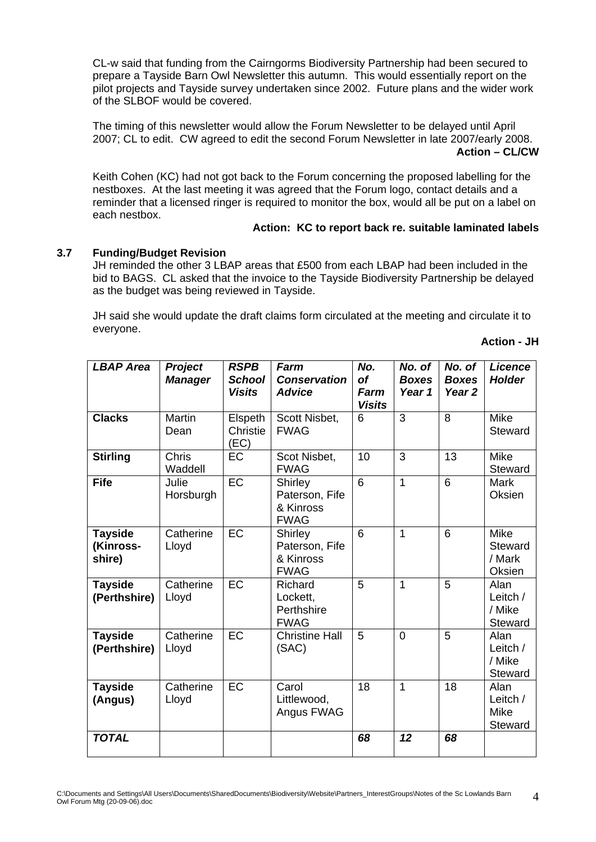CL-w said that funding from the Cairngorms Biodiversity Partnership had been secured to prepare a Tayside Barn Owl Newsletter this autumn. This would essentially report on the pilot projects and Tayside survey undertaken since 2002. Future plans and the wider work of the SLBOF would be covered.

The timing of this newsletter would allow the Forum Newsletter to be delayed until April 2007; CL to edit. CW agreed to edit the second Forum Newsletter in late 2007/early 2008. **Action – CL/CW** 

Keith Cohen (KC) had not got back to the Forum concerning the proposed labelling for the nestboxes. At the last meeting it was agreed that the Forum logo, contact details and a reminder that a licensed ringer is required to monitor the box, would all be put on a label on each nestbox.

# **Action: KC to report back re. suitable laminated labels**

# **3.7 Funding/Budget Revision**

JH reminded the other 3 LBAP areas that £500 from each LBAP had been included in the bid to BAGS. CL asked that the invoice to the Tayside Biodiversity Partnership be delayed as the budget was being reviewed in Tayside.

JH said she would update the draft claims form circulated at the meeting and circulate it to everyone.

**Action - JH** 

| <b>LBAP Area</b>                      | Project<br><b>Manager</b> | <b>RSPB</b><br><b>School</b><br><b>Visits</b> | Farm<br><b>Conservation</b><br><b>Advice</b>          | No.<br><b>of</b><br>Farm<br><b>Visits</b> | No. of<br><b>Boxes</b><br>Year 1 | No. of<br><b>Boxes</b><br>Year <sub>2</sub> | <b>Licence</b><br><b>Holder</b>            |
|---------------------------------------|---------------------------|-----------------------------------------------|-------------------------------------------------------|-------------------------------------------|----------------------------------|---------------------------------------------|--------------------------------------------|
| <b>Clacks</b>                         | <b>Martin</b><br>Dean     | Elspeth<br>Christie<br>(EC)                   | Scott Nisbet,<br><b>FWAG</b>                          | 6                                         | 3                                | 8                                           | Mike<br>Steward                            |
| <b>Stirling</b>                       | <b>Chris</b><br>Waddell   | $\overline{EC}$                               | Scot Nisbet,<br><b>FWAG</b>                           | 10                                        | $\overline{3}$                   | $\overline{13}$                             | <b>Mike</b><br>Steward                     |
| <b>Fife</b>                           | Julie<br>Horsburgh        | <b>EC</b>                                     | Shirley<br>Paterson, Fife<br>& Kinross<br><b>FWAG</b> | 6                                         | 1                                | 6                                           | <b>Mark</b><br>Oksien                      |
| <b>Tayside</b><br>(Kinross-<br>shire) | Catherine<br>Lloyd        | $E$ C                                         | Shirley<br>Paterson, Fife<br>& Kinross<br><b>FWAG</b> | 6                                         | 1                                | 6                                           | <b>Mike</b><br>Steward<br>/ Mark<br>Oksien |
| <b>Tayside</b><br>(Perthshire)        | Catherine<br>Lloyd        | <b>EC</b>                                     | Richard<br>Lockett,<br>Perthshire<br><b>FWAG</b>      | 5                                         | $\overline{1}$                   | 5                                           | Alan<br>Leitch /<br>/ Mike<br>Steward      |
| <b>Tayside</b><br>(Perthshire)        | Catherine<br>Lloyd        | EC                                            | <b>Christine Hall</b><br>(SAC)                        | 5                                         | $\overline{0}$                   | 5                                           | Alan<br>Leitch /<br>/ Mike<br>Steward      |
| <b>Tayside</b><br>(Angus)             | Catherine<br>Lloyd        | EC                                            | Carol<br>Littlewood,<br>Angus FWAG                    | 18                                        | 1                                | 18                                          | Alan<br>Leitch /<br>Mike<br>Steward        |
| <b>TOTAL</b>                          |                           |                                               |                                                       | 68                                        | 12                               | 68                                          |                                            |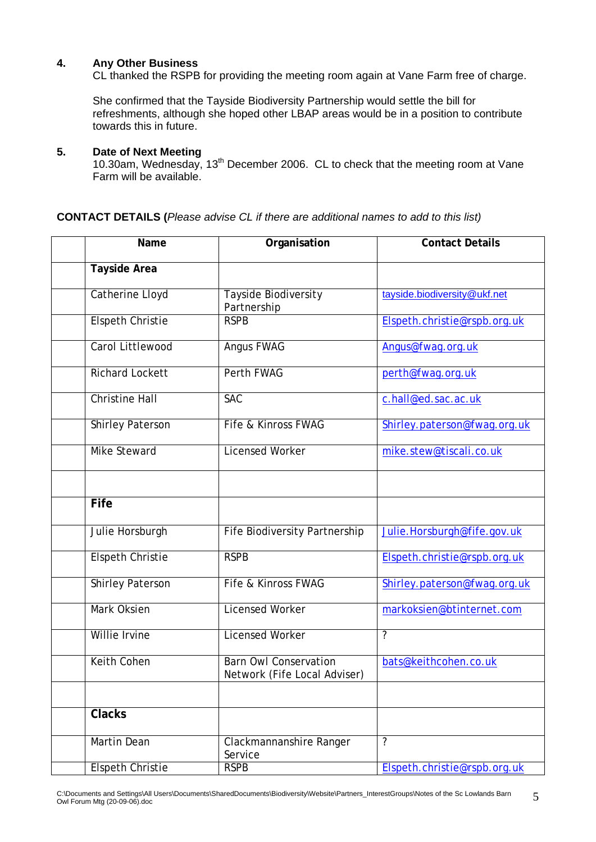#### **4. Any Other Business**

CL thanked the RSPB for providing the meeting room again at Vane Farm free of charge.

She confirmed that the Tayside Biodiversity Partnership would settle the bill for refreshments, although she hoped other LBAP areas would be in a position to contribute towards this in future.

# **5. Date of Next Meeting**

10.30am, Wednesday, 13<sup>th</sup> December 2006. CL to check that the meeting room at Vane Farm will be available.

#### **CONTACT DETAILS (***Please advise CL if there are additional names to add to this list)*

| Name                    | Organisation                                                 | <b>Contact Details</b>       |
|-------------------------|--------------------------------------------------------------|------------------------------|
| <b>Tayside Area</b>     |                                                              |                              |
| <b>Catherine Lloyd</b>  | <b>Tayside Biodiversity</b><br>Partnership                   | tayside.biodiversity@ukf.net |
| <b>Elspeth Christie</b> | <b>RSPB</b>                                                  | Elspeth.christie@rspb.org.uk |
| Carol Littlewood        | <b>Angus FWAG</b>                                            | Angus@fwag.org.uk            |
| <b>Richard Lockett</b>  | Perth FWAG                                                   | perth@fwag.org.uk            |
| <b>Christine Hall</b>   | <b>SAC</b>                                                   | c.hall@ed.sac.ac.uk          |
| Shirley Paterson        | Fife & Kinross FWAG                                          | Shirley.paterson@fwag.org.uk |
| <b>Mike Steward</b>     | <b>Licensed Worker</b>                                       | mike.stew@tiscali.co.uk      |
|                         |                                                              |                              |
| <b>Fife</b>             |                                                              |                              |
| Julie Horsburgh         | <b>Fife Biodiversity Partnership</b>                         | Julie.Horsburgh@fife.gov.uk  |
| <b>Elspeth Christie</b> | <b>RSPB</b>                                                  | Elspeth.christie@rspb.org.uk |
| <b>Shirley Paterson</b> | Fife & Kinross FWAG                                          | Shirley.paterson@fwag.org.uk |
| Mark Oksien             | <b>Licensed Worker</b>                                       | markoksien@btinternet.com    |
| Willie Irvine           | <b>Licensed Worker</b>                                       | $\overline{\cdot}$           |
| Keith Cohen             | <b>Barn Owl Conservation</b><br>Network (Fife Local Adviser) | bats@keithcohen.co.uk        |
|                         |                                                              |                              |
| <b>Clacks</b>           |                                                              |                              |
| <b>Martin Dean</b>      | $\overline{\cdot}$<br>Clackmannanshire Ranger<br>Service     |                              |
| <b>Elspeth Christie</b> | <b>RSPB</b>                                                  | Elspeth.christie@rspb.org.uk |